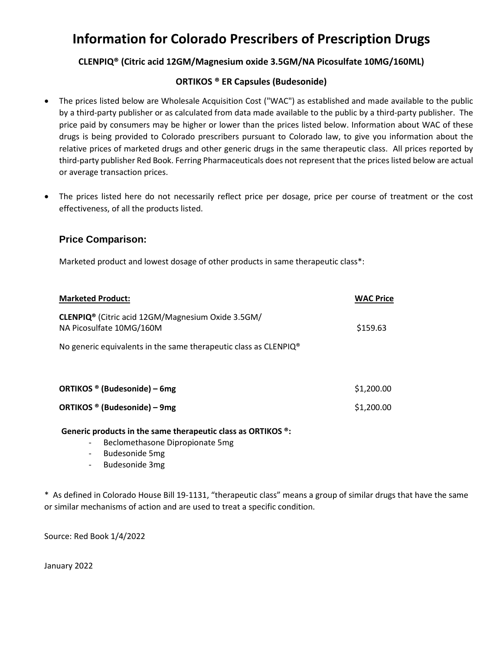## **Information for Colorado Prescribers of Prescription Drugs**

### **CLENPIQ® (Citric acid 12GM/Magnesium oxide 3.5GM/NA Picosulfate 10MG/160ML)**

#### **ORTIKOS ® ER Capsules (Budesonide)**

- The prices listed below are Wholesale Acquisition Cost ("WAC") as established and made available to the public by a third-party publisher or as calculated from data made available to the public by a third-party publisher. The price paid by consumers may be higher or lower than the prices listed below. Information about WAC of these drugs is being provided to Colorado prescribers pursuant to Colorado law, to give you information about the relative prices of marketed drugs and other generic drugs in the same therapeutic class. All prices reported by third-party publisher Red Book. Ferring Pharmaceuticals does not represent that the prices listed below are actual or average transaction prices.
- The prices listed here do not necessarily reflect price per dosage, price per course of treatment or the cost effectiveness, of all the products listed.

#### **Price Comparison:**

Marketed product and lowest dosage of other products in same therapeutic class\*:

| <b>Marketed Product:</b>                                                                  | <b>WAC Price</b> |
|-------------------------------------------------------------------------------------------|------------------|
| CLENPIQ <sup>®</sup> (Citric acid 12GM/Magnesium Oxide 3.5GM/<br>NA Picosulfate 10MG/160M | \$159.63         |
| No generic equivalents in the same therapeutic class as CLENPIQ <sup>®</sup>              |                  |
|                                                                                           |                  |
| ORTIKOS ® (Budesonide) – 6mg                                                              | \$1,200.00       |
| ORTIKOS ® (Budesonide) – 9mg                                                              | \$1,200.00       |
|                                                                                           |                  |

**Generic products in the same therapeutic class as ORTIKOS ®:** 

- Beclomethasone Dipropionate 5mg
- Budesonide 5mg
- Budesonide 3mg

\* As defined in Colorado House Bill 19-1131, "therapeutic class" means a group of similar drugs that have the same or similar mechanisms of action and are used to treat a specific condition.

Source: Red Book 1/4/2022

January 2022